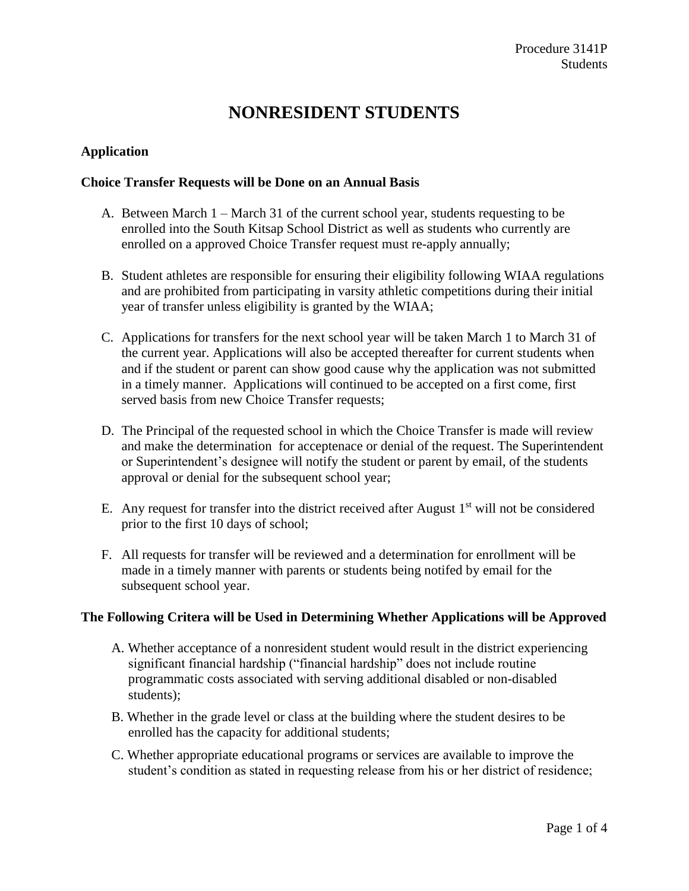# **NONRESIDENT STUDENTS**

#### **Application**

#### **Choice Transfer Requests will be Done on an Annual Basis**

- A. Between March 1 March 31 of the current school year, students requesting to be enrolled into the South Kitsap School District as well as students who currently are enrolled on a approved Choice Transfer request must re-apply annually;
- B. Student athletes are responsible for ensuring their eligibility following WIAA regulations and are prohibited from participating in varsity athletic competitions during their initial year of transfer unless eligibility is granted by the WIAA;
- C. Applications for transfers for the next school year will be taken March 1 to March 31 of the current year. Applications will also be accepted thereafter for current students when and if the student or parent can show good cause why the application was not submitted in a timely manner. Applications will continued to be accepted on a first come, first served basis from new Choice Transfer requests;
- D. The Principal of the requested school in which the Choice Transfer is made will review and make the determination for acceptenace or denial of the request. The Superintendent or Superintendent's designee will notify the student or parent by email, of the students approval or denial for the subsequent school year;
- E. Any request for transfer into the district received after August  $1<sup>st</sup>$  will not be considered prior to the first 10 days of school;
- F. All requests for transfer will be reviewed and a determination for enrollment will be made in a timely manner with parents or students being notifed by email for the subsequent school year.

#### **The Following Critera will be Used in Determining Whether Applications will be Approved**

- A. Whether acceptance of a nonresident student would result in the district experiencing significant financial hardship ("financial hardship" does not include routine programmatic costs associated with serving additional disabled or non-disabled students);
- B. Whether in the grade level or class at the building where the student desires to be enrolled has the capacity for additional students;
- C. Whether appropriate educational programs or services are available to improve the student's condition as stated in requesting release from his or her district of residence;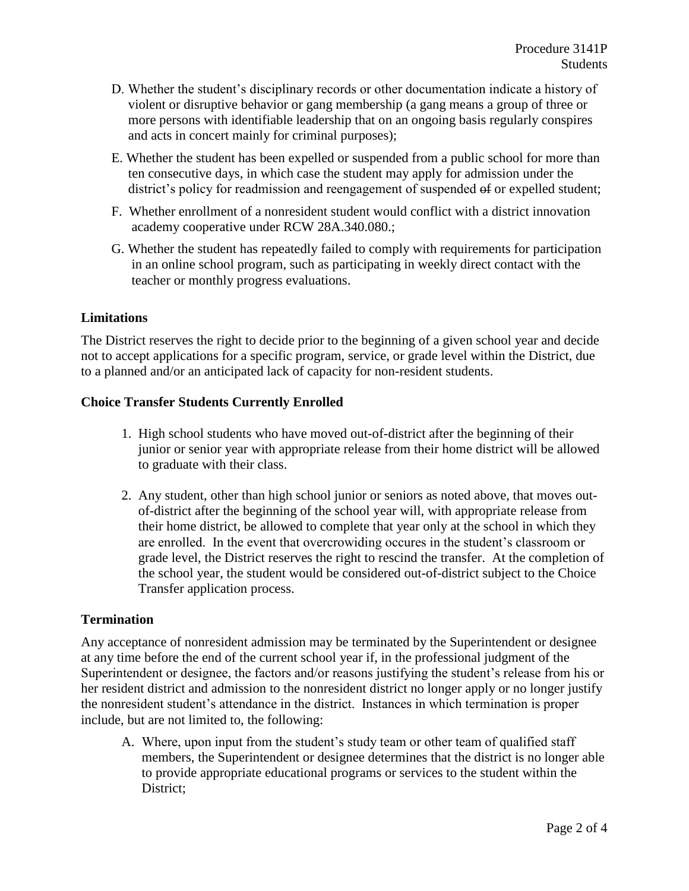- D. Whether the student's disciplinary records or other documentation indicate a history of violent or disruptive behavior or gang membership (a gang means a group of three or more persons with identifiable leadership that on an ongoing basis regularly conspires and acts in concert mainly for criminal purposes);
- E. Whether the student has been expelled or suspended from a public school for more than ten consecutive days, in which case the student may apply for admission under the district's policy for readmission and reengagement of suspended  $\Theta$  or expelled student;
- F. Whether enrollment of a nonresident student would conflict with a district innovation academy cooperative under RCW 28A.340.080.;
- G. Whether the student has repeatedly failed to comply with requirements for participation in an online school program, such as participating in weekly direct contact with the teacher or monthly progress evaluations.

#### **Limitations**

The District reserves the right to decide prior to the beginning of a given school year and decide not to accept applications for a specific program, service, or grade level within the District, due to a planned and/or an anticipated lack of capacity for non-resident students.

#### **Choice Transfer Students Currently Enrolled**

- 1. High school students who have moved out-of-district after the beginning of their junior or senior year with appropriate release from their home district will be allowed to graduate with their class.
- 2. Any student, other than high school junior or seniors as noted above, that moves out of-district after the beginning of the school year will, with appropriate release from their home district, be allowed to complete that year only at the school in which they are enrolled. In the event that overcrowiding occures in the student's classroom or grade level, the District reserves the right to rescind the transfer. At the completion of the school year, the student would be considered out-of-district subject to the Choice Transfer application process.

#### **Termination**

Any acceptance of nonresident admission may be terminated by the Superintendent or designee at any time before the end of the current school year if, in the professional judgment of the Superintendent or designee, the factors and/or reasons justifying the student's release from his or her resident district and admission to the nonresident district no longer apply or no longer justify the nonresident student's attendance in the district. Instances in which termination is proper include, but are not limited to, the following:

A. Where, upon input from the student's study team or other team of qualified staff members, the Superintendent or designee determines that the district is no longer able to provide appropriate educational programs or services to the student within the District;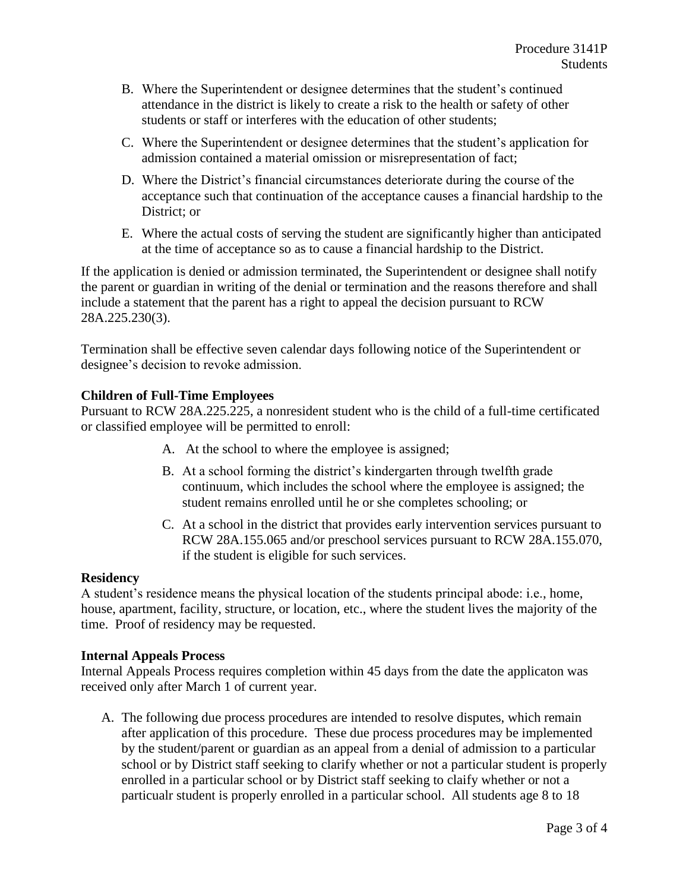- B. Where the Superintendent or designee determines that the student's continued attendance in the district is likely to create a risk to the health or safety of other students or staff or interferes with the education of other students;
- C. Where the Superintendent or designee determines that the student's application for admission contained a material omission or misrepresentation of fact;
- D. Where the District's financial circumstances deteriorate during the course of the acceptance such that continuation of the acceptance causes a financial hardship to the District; or
- E. Where the actual costs of serving the student are significantly higher than anticipated at the time of acceptance so as to cause a financial hardship to the District.

If the application is denied or admission terminated, the Superintendent or designee shall notify the parent or guardian in writing of the denial or termination and the reasons therefore and shall include a statement that the parent has a right to appeal the decision pursuant to RCW 28A.225.230(3).

Termination shall be effective seven calendar days following notice of the Superintendent or designee's decision to revoke admission.

## **Children of Full-Time Employees**

Pursuant to RCW 28A.225.225, a nonresident student who is the child of a full-time certificated or classified employee will be permitted to enroll:

- A. At the school to where the employee is assigned;
- B. At a school forming the district's kindergarten through twelfth grade continuum, which includes the school where the employee is assigned; the student remains enrolled until he or she completes schooling; or
- C. At a school in the district that provides early intervention services pursuant to RCW 28A.155.065 and/or preschool services pursuant to RCW 28A.155.070, if the student is eligible for such services.

### **Residency**

A student's residence means the physical location of the students principal abode: i.e., home, house, apartment, facility, structure, or location, etc., where the student lives the majority of the time. Proof of residency may be requested.

#### **Internal Appeals Process**

Internal Appeals Process requires completion within 45 days from the date the applicaton was received only after March 1 of current year.

A. The following due process procedures are intended to resolve disputes, which remain after application of this procedure. These due process procedures may be implemented by the student/parent or guardian as an appeal from a denial of admission to a particular school or by District staff seeking to clarify whether or not a particular student is properly enrolled in a particular school or by District staff seeking to claify whether or not a particualr student is properly enrolled in a particular school. All students age 8 to 18